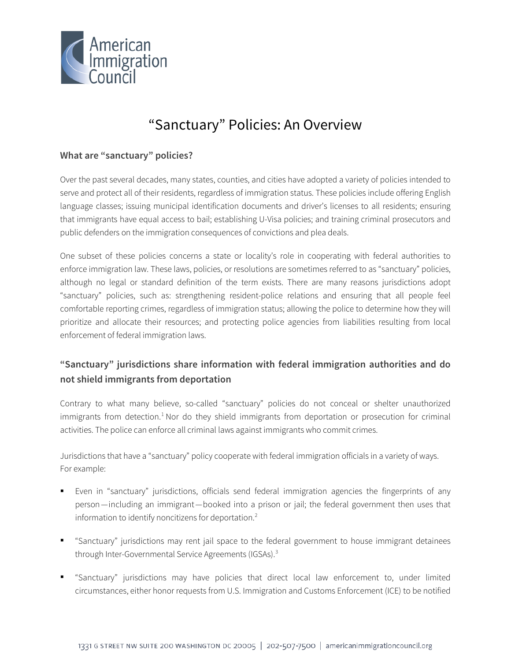

# "Sanctuary" Policies: An Overview

## **What are "sanctuary" policies?**

Over the past several decades, many states, counties, and cities have adopted a variety of policies intended to serve and protect all of their residents, regardless of immigration status. These policies include offering English language classes; issuing municipal identification documents and driver's licenses to all residents; ensuring that immigrants have equal access to bail; establishing U-Visa policies; and training criminal prosecutors and public defenders on the immigration consequences of convictions and plea deals.

One subset of these policies concerns a state or locality's role in cooperating with federal authorities to enforce immigration law. These laws, policies, or resolutions are sometimes referred to as "sanctuary" policies, although no legal or standard definition of the term exists. There are many reasons jurisdictions adopt "sanctuary" policies, such as: strengthening resident-police relations and ensuring that all people feel comfortable reporting crimes, regardless of immigration status; allowing the police to determine how they will prioritize and allocate their resources; and protecting police agencies from liabilities resulting from local enforcement of federal immigration laws.

# **"Sanctuary" jurisdictions share information with federal immigration authorities and do not shield immigrants from deportation**

Contrary to what many believe, so-called "sanctuary" policies do not conceal or shelter unauthorized immigrants from detection.<sup>[1](#page-4-0)</sup> Nor do they shield immigrants from deportation or prosecution for criminal activities. The police can enforce all criminal laws against immigrants who commit crimes.

Jurisdictions that have a "sanctuary" policy cooperate with federal immigration officials in a variety of ways. For example:

- Even in "sanctuary" jurisdictions, officials send federal immigration agencies the fingerprints of any person—including an immigrant—booked into a prison or jail; the federal government then uses that information to identify noncitizens for deportation.[2](#page-4-1)
- "Sanctuary" jurisdictions may rent jail space to the federal government to house immigrant detainees through Inter-Governmental Service Agreements (IGSAs).[3](#page-4-2)
- "Sanctuary" jurisdictions may have policies that direct local law enforcement to, under limited circumstances, either honor requests from U.S. Immigration and Customs Enforcement (ICE) to be notified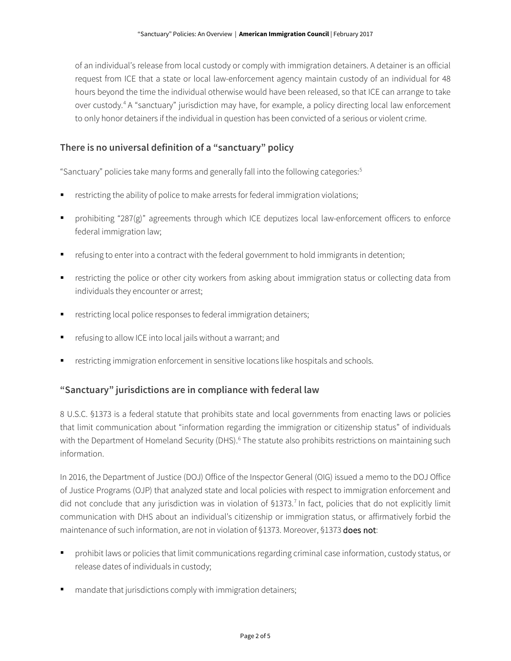of an individual's release from local custody or comply with immigration detainers. A detainer is an official request from ICE that a state or local law-enforcement agency maintain custody of an individual for 48 hours beyond the time the individual otherwise would have been released, so that ICE can arrange to take over custody.<sup>[4](#page-4-3)</sup> A "sanctuary" jurisdiction may have, for example, a policy directing local law enforcement to only honor detainers if the individual in question has been convicted of a serious or violent crime.

### **There is no universal definition of a "sanctuary" policy**

"Sanctuary" policies take many forms and generally fall into the following categories: [5](#page-4-4)

- restricting the ability of police to make arrests for federal immigration violations;
- prohibiting "287(g)" agreements through which ICE deputizes local law-enforcement officers to enforce federal immigration law;
- refusing to enter into a contract with the federal government to hold immigrants in detention;
- restricting the police or other city workers from asking about immigration status or collecting data from individuals they encounter or arrest;
- restricting local police responses to federal immigration detainers;
- refusing to allow ICE into local jails without a warrant; and
- restricting immigration enforcement in sensitive locations like hospitals and schools.

#### **"Sanctuary" jurisdictions are in compliance with federal law**

8 U.S.C. §1373 is a federal statute that prohibits state and local governments from enacting laws or policies that limit communication about "information regarding the immigration or citizenship status" of individuals with the Department of Homeland Security (DHS).<sup>[6](#page-4-5)</sup> The statute also prohibits restrictions on maintaining such information.

In 2016, the Department of Justice (DOJ) Office of the Inspector General (OIG) issued a memo to the DOJ Office of Justice Programs (OJP) that analyzed state and local policies with respect to immigration enforcement and did not conclude that any jurisdiction was in violation of §13[7](#page-4-6)3.<sup>7</sup> In fact, policies that do not explicitly limit communication with DHS about an individual's citizenship or immigration status, or affirmatively forbid the maintenance of such information, are not in violation of §1373. Moreover, §1373 does not:

- prohibit laws or policies that limit communications regarding criminal case information, custody status, or release dates of individuals in custody;
- mandate that jurisdictions comply with immigration detainers;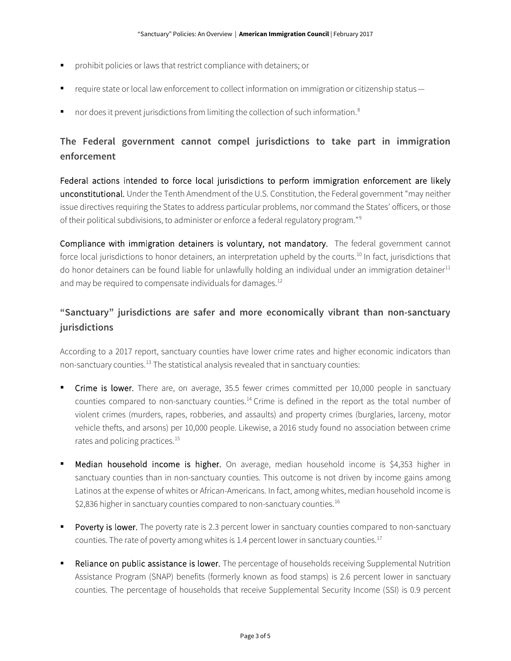- prohibit policies or laws that restrict compliance with detainers; or
- require state or local law enforcement to collect information on immigration or citizenship status—
- nor does it prevent jurisdictions from limiting the collection of such information.<sup>[8](#page-4-7)</sup>

# **The Federal government cannot compel jurisdictions to take part in immigration enforcement**

Federal actions intended to force local jurisdictions to perform immigration enforcement are likely unconstitutional. Under the Tenth Amendment of the U.S. Constitution, the Federal government "may neither issue directives requiring the States to address particular problems, nor command the States' officers, or those of their political subdivisions, to administer or enforce a federal regulatory program."[9](#page-4-8)

Compliance with immigration detainers is voluntary, not mandatory. The federal government cannot force local jurisdictions to honor detainers, an interpretation upheld by the courts.<sup>[10](#page-4-9)</sup> In fact, jurisdictions that do honor detainers can be found liable for unlawfully holding an individual under an immigration detainer<sup>[11](#page-4-10)</sup> and may be required to compensate individuals for damages.<sup>12</sup>

# **"Sanctuary" jurisdictions are safer and more economically vibrant than non-sanctuary jurisdictions**

According to a 2017 report, sanctuary counties have lower crime rates and higher economic indicators than non-sanctuary counties.<sup>[13](#page-4-12)</sup> The statistical analysis revealed that in sanctuary counties:

- **Crime is lower.** There are, on average, 35.5 fewer crimes committed per 10,000 people in sanctuary counties compared to non-sanctuary counties.<sup>[14](#page-4-13)</sup> Crime is defined in the report as the total number of violent crimes (murders, rapes, robberies, and assaults) and property crimes (burglaries, larceny, motor vehicle thefts, and arsons) per 10,000 people. Likewise, a 2016 study found no association between crime rates and policing practices.<sup>[15](#page-4-14)</sup>
- Median household income is higher. On average, median household income is \$4,353 higher in sanctuary counties than in non-sanctuary counties. This outcome is not driven by income gains among Latinos at the expense of whites or African-Americans. In fact, among whites, median household income is  $$2,836$  higher in sanctuary counties compared to non-sanctuary counties.<sup>[16](#page-4-15)</sup>
- Poverty is lower. The poverty rate is 2.3 percent lower in sanctuary counties compared to non-sanctuary counties. The rate of poverty among whites is 1.4 percent lower in sanctuary counties.<sup>[17](#page-4-16)</sup>
- Reliance on public assistance is lower. The percentage of households receiving Supplemental Nutrition Assistance Program (SNAP) benefits (formerly known as food stamps) is 2.6 percent lower in sanctuary counties. The percentage of households that receive Supplemental Security Income (SSI) is 0.9 percent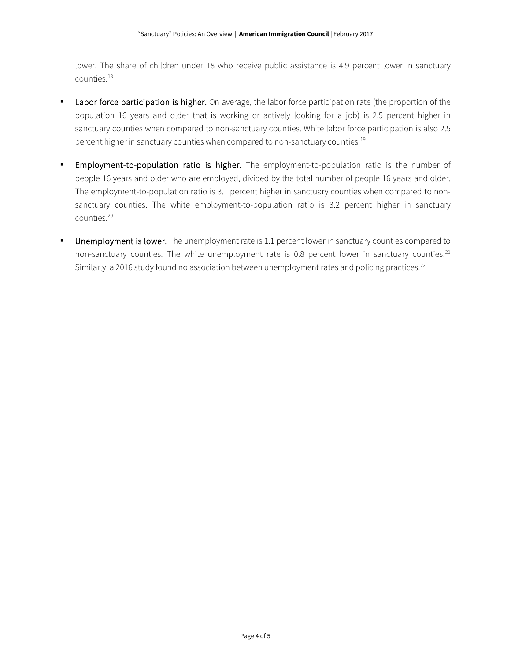lower. The share of children under 18 who receive public assistance is 4.9 percent lower in sanctuary counties.[18](#page-4-17)

- Labor force participation is higher. On average, the labor force participation rate (the proportion of the population 16 years and older that is working or actively looking for a job) is 2.5 percent higher in sanctuary counties when compared to non-sanctuary counties. White labor force participation is also 2.5 percent higher in sanctuary counties when compared to non-sanctuary counties.<sup>[19](#page-4-18)</sup>
- **Employment-to-population ratio is higher.** The employment-to-population ratio is the number of people 16 years and older who are employed, divided by the total number of people 16 years and older. The employment-to-population ratio is 3.1 percent higher in sanctuary counties when compared to nonsanctuary counties. The white employment-to-population ratio is 3.2 percent higher in sanctuary counties.[20](#page-4-19)
- Unemployment is lower. The unemployment rate is 1.1 percent lower in sanctuary counties compared to non-sanctuary counties. The white unemployment rate is 0.8 percent lower in sanctuary counties.<sup>[21](#page-4-20)</sup> Similarly, a 2016 study found no association between unemployment rates and policing practices.<sup>[22](#page-4-21)</sup>